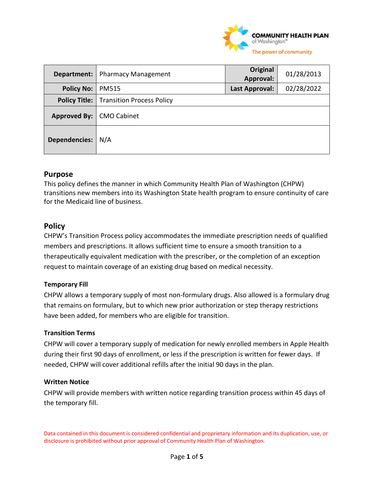

| Department:                | <b>Pharmacy Management</b>                       | <b>Original</b><br>Approval: | 01/28/2013 |
|----------------------------|--------------------------------------------------|------------------------------|------------|
| <b>Policy No:</b>          | <b>PM515</b>                                     | <b>Last Approval:</b>        | 02/28/2022 |
|                            | <b>Policy Title:</b>   Transition Process Policy |                              |            |
| Approved By:   CMO Cabinet |                                                  |                              |            |
| Dependencies:              | N/A                                              |                              |            |

# **Purpose**

This policy defines the manner in which Community Health Plan of Washington (CHPW) transitions new members into its Washington State health program to ensure continuity of care for the Medicaid line of business.

# **Policy**

CHPW's Transition Process policy accommodates the immediate prescription needs of qualified members and prescriptions. It allows sufficient time to ensure a smooth transition to a therapeutically equivalent medication with the prescriber, or the completion of an exception request to maintain coverage of an existing drug based on medical necessity.

## **Temporary Fill**

CHPW allows a temporary supply of most non-formulary drugs. Also allowed is a formulary drug that remains on formulary, but to which new prior authorization or step therapy restrictions have been added, for members who are eligible for transition.

## **Transition Terms**

CHPW will cover a temporary supply of medication for newly enrolled members in Apple Health during their first 90 days of enrollment, or less if the prescription is written for fewer days. If needed, CHPW will cover additional refills after the initial 90 days in the plan.

## **Written Notice**

CHPW will provide members with written notice regarding transition process within 45 days of the temporary fill.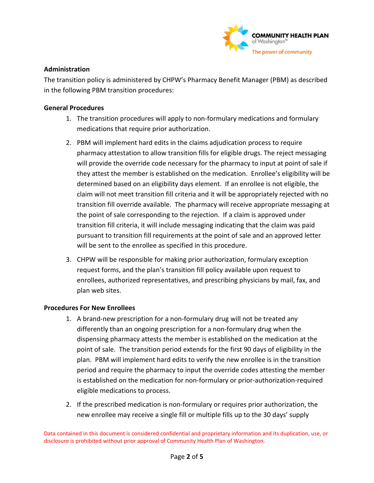

## **Administration**

The transition policy is administered by CHPW's Pharmacy Benefit Manager (PBM) as described in the following PBM transition procedures:

## **General Procedures**

- 1. The transition procedures will apply to non-formulary medications and formulary medications that require prior authorization.
- 2. PBM will implement hard edits in the claims adjudication process to require pharmacy attestation to allow transition fills for eligible drugs. The reject messaging will provide the override code necessary for the pharmacy to input at point of sale if they attest the member is established on the medication. Enrollee's eligibility will be determined based on an eligibility days element. If an enrollee is not eligible, the claim will not meet transition fill criteria and it will be appropriately rejected with no transition fill override available. The pharmacy will receive appropriate messaging at the point of sale corresponding to the rejection. If a claim is approved under transition fill criteria, it will include messaging indicating that the claim was paid pursuant to transition fill requirements at the point of sale and an approved letter will be sent to the enrollee as specified in this procedure.
- 3. CHPW will be responsible for making prior authorization, formulary exception request forms, and the plan's transition fill policy available upon request to enrollees, authorized representatives, and prescribing physicians by mail, fax, and plan web sites.

## **Procedures For New Enrollees**

- 1. A brand-new prescription for a non-formulary drug will not be treated any differently than an ongoing prescription for a non-formulary drug when the dispensing pharmacy attests the member is established on the medication at the point of sale. The transition period extends for the first 90 days of eligibility in the plan. PBM will implement hard edits to verify the new enrollee is in the transition period and require the pharmacy to input the override codes attesting the member is established on the medication for non-formulary or prior-authorization-required eligible medications to process.
- 2. If the prescribed medication is non-formulary or requires prior authorization, the new enrollee may receive a single fill or multiple fills up to the 30 days' supply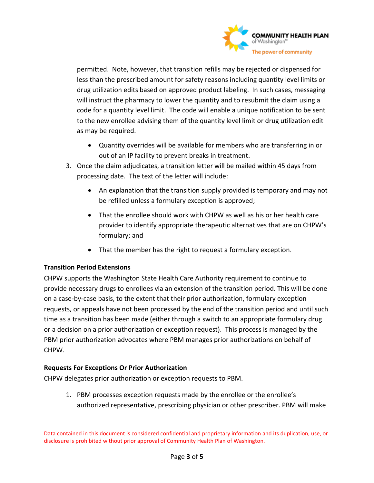

permitted. Note, however, that transition refills may be rejected or dispensed for less than the prescribed amount for safety reasons including quantity level limits or drug utilization edits based on approved product labeling. In such cases, messaging will instruct the pharmacy to lower the quantity and to resubmit the claim using a code for a quantity level limit. The code will enable a unique notification to be sent to the new enrollee advising them of the quantity level limit or drug utilization edit as may be required.

- Quantity overrides will be available for members who are transferring in or out of an IP facility to prevent breaks in treatment.
- 3. Once the claim adjudicates, a transition letter will be mailed within 45 days from processing date. The text of the letter will include:
	- An explanation that the transition supply provided is temporary and may not be refilled unless a formulary exception is approved;
	- That the enrollee should work with CHPW as well as his or her health care provider to identify appropriate therapeutic alternatives that are on CHPW's formulary; and
	- That the member has the right to request a formulary exception.

## **Transition Period Extensions**

CHPW supports the Washington State Health Care Authority requirement to continue to provide necessary drugs to enrollees via an extension of the transition period. This will be done on a case-by-case basis, to the extent that their prior authorization, formulary exception requests, or appeals have not been processed by the end of the transition period and until such time as a transition has been made (either through a switch to an appropriate formulary drug or a decision on a prior authorization or exception request). This process is managed by the PBM prior authorization advocates where PBM manages prior authorizations on behalf of CHPW.

## **Requests For Exceptions Or Prior Authorization**

CHPW delegates prior authorization or exception requests to PBM.

1. PBM processes exception requests made by the enrollee or the enrollee's authorized representative, prescribing physician or other prescriber. PBM will make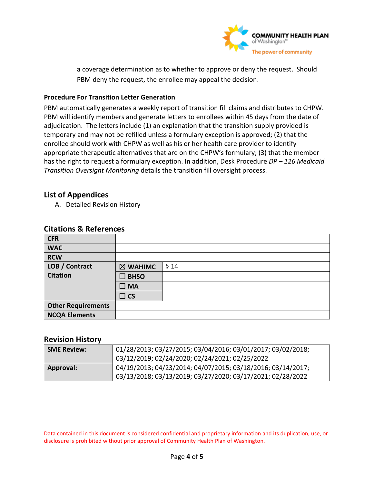

a coverage determination as to whether to approve or deny the request. Should PBM deny the request, the enrollee may appeal the decision.

## **Procedure For Transition Letter Generation**

PBM automatically generates a weekly report of transition fill claims and distributes to CHPW. PBM will identify members and generate letters to enrollees within 45 days from the date of adjudication. The letters include (1) an explanation that the transition supply provided is temporary and may not be refilled unless a formulary exception is approved; (2) that the enrollee should work with CHPW as well as his or her health care provider to identify appropriate therapeutic alternatives that are on the CHPW's formulary; (3) that the member has the right to request a formulary exception. In addition, Desk Procedure *DP – 126 Medicaid Transition Oversight Monitoring* details the transition fill oversight process.

# **List of Appendices**

A. Detailed Revision History

| <b>CFR</b>                |              |        |
|---------------------------|--------------|--------|
| <b>WAC</b>                |              |        |
| <b>RCW</b>                |              |        |
| LOB / Contract            | ⊠ WAHIMC     | $§$ 14 |
| <b>Citation</b>           | <b>BHSO</b>  |        |
|                           | $\square$ MA |        |
|                           | $\Box$ CS    |        |
| <b>Other Requirements</b> |              |        |
| <b>NCQA Elements</b>      |              |        |

# **Citations & References**

## **Revision History**

| <b>SME Review:</b> | 01/28/2013; 03/27/2015; 03/04/2016; 03/01/2017; 03/02/2018;<br>03/12/2019; 02/24/2020; 02/24/2021; 02/25/2022             |
|--------------------|---------------------------------------------------------------------------------------------------------------------------|
| <b>Approval:</b>   | 04/19/2013; 04/23/2014; 04/07/2015; 03/18/2016; 03/14/2017;<br>03/13/2018; 03/13/2019; 03/27/2020; 03/17/2021; 02/28/2022 |